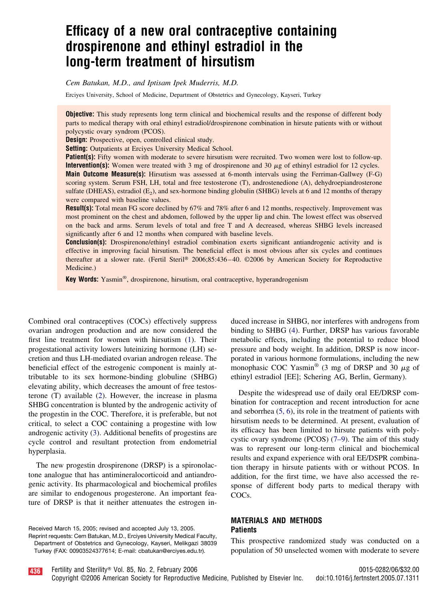# **Efficacy of a new oral contraceptive containing drospirenone and ethinyl estradiol in the long-term treatment of hirsutism**

*Cem Batukan, M.D., and Iptisam Ipek Muderris, M.D.*

Erciyes University, School of Medicine, Department of Obstetrics and Gynecology, Kayseri, Turkey

**Objective:** This study represents long term clinical and biochemical results and the response of different body parts to medical therapy with oral ethinyl estradiol/drospirenone combination in hirsute patients with or without polycystic ovary syndrom (PCOS).

**Design:** Prospective, open, controlled clinical study.

**Setting:** Outpatients at Erciyes University Medical School.

**Patient(s):** Fifty women with moderate to severe hirsutism were recruited. Two women were lost to follow-up. **Intervention(s):** Women were treated with 3 mg of drospirenone and 30  $\mu$ g of ethinyl estradiol for 12 cycles. **Main Outcome Measure(s):** Hirsutism was assessed at 6-month intervals using the Ferriman-Gallwey (F-G) scoring system. Serum FSH, LH, total and free testosterone (T), androstenedione (A), dehydroepiandrosterone sulfate (DHEAS), estradiol  $(E_2)$ , and sex-hormone binding globulin (SHBG) levels at 6 and 12 months of therapy were compared with baseline values.

**Result(s):** Total mean FG score declined by 67% and 78% after 6 and 12 months, respectively. Improvement was most prominent on the chest and abdomen, followed by the upper lip and chin. The lowest effect was observed on the back and arms. Serum levels of total and free T and A decreased, whereas SHBG levels increased significantly after 6 and 12 months when compared with baseline levels.

**Conclusion(s):** Drospirenone/ethinyl estradiol combination exerts significant antiandrogenic activity and is effective in improving facial hirsutism. The beneficial effect is most obvious after six cycles and continues thereafter at a slower rate. (Fertil Steril® 2006;85:436-40. ©2006 by American Society for Reproductive Medicine.)

**Key Words:** Yasmin®, drospirenone, hirsutism, oral contraceptive, hyperandrogenism

Combined oral contraceptives (COCs) effectively suppress ovarian androgen production and are now considered the first line treatment for women with hirsutism [\(1\)](#page-4-0). Their progestational activity lowers luteinizing hormone (LH) secretion and thus LH-mediated ovarian androgen release. The beneficial effect of the estrogenic component is mainly attributable to its sex hormone-binding globuline (SHBG) elevating ability, which decreases the amount of free testosterone (T) available [\(2\)](#page-4-0). However, the increase in plasma SHBG concentration is blunted by the androgenic activity of the progestin in the COC. Therefore, it is preferable, but not critical, to select a COC containing a progestine with low androgenic activity [\(3\)](#page-4-0). Additional benefits of progestins are cycle control and resultant protection from endometrial hyperplasia.

The new progestin drospirenone (DRSP) is a spironolactone analogue that has antimineralocorticoid and antiandrogenic activity. Its pharmacological and biochemical profiles are similar to endogenous progesterone. An important feature of DRSP is that it neither attenuates the estrogen in-

Received March 15, 2005; revised and accepted July 13, 2005. Reprint requests: Cem Batukan, M.D., Erciyes University Medical Faculty, Department of Obstetrics and Gynecology, Kayseri, Melikgazi 38039 Turkey (FAX: 00903524377614; E-mail: cbatukan@erciyes.edu.tr).

duced increase in SHBG, nor interferes with androgens from binding to SHBG [\(4\)](#page-4-0). Further, DRSP has various favorable metabolic effects, including the potential to reduce blood pressure and body weight. In addition, DRSP is now incorporated in various hormone formulations, including the new monophasic COC Yasmin<sup>®</sup> (3 mg of DRSP and 30  $\mu$ g of ethinyl estradiol [EE]; Schering AG, Berlin, Germany).

Despite the widespread use of daily oral EE/DRSP combination for contraception and recent introduction for acne and seborrhea [\(5, 6\)](#page-4-0), its role in the treatment of patients with hirsutism needs to be determined. At present, evaluation of its efficacy has been limited to hirsute patients with polycystic ovary syndrome (PCOS) [\(7–9\)](#page-4-0). The aim of this study was to represent our long-term clinical and biochemical results and expand experience with oral EE/DSPR combination therapy in hirsute patients with or without PCOS. In addition, for the first time, we have also accessed the response of different body parts to medical therapy with COCs.

#### **MATERIALS AND METHODS Patients**

This prospective randomized study was conducted on a population of 50 unselected women with moderate to severe

<mark>436</mark> Fertility and Sterility® Vol. 85, No. 2, February 2006 **0015-0282/06/\$32.00** 0015-0282/06/\$32.00

Copyright ©2006 American Society for Reproductive Medicine, Published by Elsevier Inc. doi:10.1016/j.fertnstert.2005.07.1311

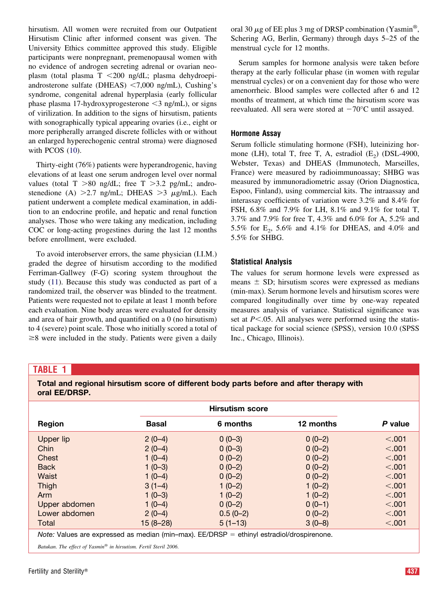<span id="page-1-0"></span>hirsutism. All women were recruited from our Outpatient Hirsutism Clinic after informed consent was given. The University Ethics committee approved this study. Eligible participants were nonpregnant, premenopausal women with no evidence of androgen secreting adrenal or ovarian neoplasm (total plasma T 200 ng/dL; plasma dehydroepiandrosterone sulfate (DHEAS)  $\langle 7,000 \text{ ng/mL} \rangle$ , Cushing's syndrome, congenital adrenal hyperplasia (early follicular phase plasma 17-hydroxyprogesterone  $\leq$ 3 ng/mL), or signs of virilization. In addition to the signs of hirsutism, patients with sonographically typical appearing ovaries (i.e., eight or more peripherally arranged discrete follicles with or without an enlarged hyperechogenic central stroma) were diagnosed with PCOS [\(10\)](#page-4-0).

Thirty-eight (76%) patients were hyperandrogenic, having elevations of at least one serum androgen level over normal values (total  $T > 80$  ng/dL; free  $T > 3.2$  pg/mL; androstenedione (A)  $>2.7$  ng/mL; DHEAS  $>3$   $\mu$ g/mL). Each patient underwent a complete medical examination, in addition to an endocrine profile, and hepatic and renal function analyses. Those who were taking any medication, including COC or long-acting progestines during the last 12 months before enrollment, were excluded.

To avoid interobserver errors, the same physician (I.I.M.) graded the degree of hirsutism according to the modified Ferriman-Gallwey (F-G) scoring system throughout the study [\(11\)](#page-4-0). Because this study was conducted as part of a randomized trail, the observer was blinded to the treatment. Patients were requested not to epilate at least 1 month before each evaluation. Nine body areas were evaluated for density and area of hair growth, and quantified on a 0 (no hirsutism) to 4 (severe) point scale. Those who initially scored a total of  $\geq$ 8 were included in the study. Patients were given a daily

oral 30  $\mu$ g of EE plus 3 mg of DRSP combination (Yasmin<sup>®</sup>, Schering AG, Berlin, Germany) through days 5–25 of the menstrual cycle for 12 months.

Serum samples for hormone analysis were taken before therapy at the early follicular phase (in women with regular menstrual cycles) or on a convenient day for those who were amenorrheic. Blood samples were collected after 6 and 12 months of treatment, at which time the hirsutism score was reevaluated. All sera were stored at  $-70^{\circ}$ C until assayed.

#### **Hormone Assay**

Serum follicle stimulating hormone (FSH), luteinizing hormone (LH), total T, free T, A, estradiol  $(E_2)$  (DSL-4900, Webster, Texas) and DHEAS (Immunotech, Marseilles, France) were measured by radioimmunoassay; SHBG was measured by immunoradiometric assay (Orion Diagnostica, Espoo, Finland), using commercial kits. The intraassay and interassay coefficients of variation were 3.2% and 8.4% for FSH, 6.8% and 7.9% for LH, 8.1% and 9.1% for total T, 3.7% and 7.9% for free T, 4.3% and 6.0% for A, 5.2% and 5.5% for  $E_2$ , 5.6% and 4.1% for DHEAS, and 4.0% and 5.5% for SHBG.

## **Statistical Analysis**

The values for serum hormone levels were expressed as means  $\pm$  SD; hirsutism scores were expressed as medians (min-max). Serum hormone levels and hirsutism scores were compared longitudinally over time by one-way repeated measures analysis of variance. Statistical significance was set at  $P \le 0.05$ . All analyses were performed using the statistical package for social science (SPSS), version 10.0 (SPSS Inc., Chicago, Illinois).

## **TABLE 1**

**Total and regional hirsutism score of different body parts before and after therapy with oral EE/DRSP.**

|                                                                                                    |              | <b>Hirsutism score</b> |           |         |  |
|----------------------------------------------------------------------------------------------------|--------------|------------------------|-----------|---------|--|
| Region                                                                                             | <b>Basal</b> | 6 months               | 12 months | P value |  |
| Upper lip                                                                                          | $2(0-4)$     | $0(0-3)$               | $0(0-2)$  | < 0.001 |  |
| Chin                                                                                               | $2(0-4)$     | $0(0-3)$               | $0(0-2)$  | < 0.001 |  |
| Chest                                                                                              | $1(0-4)$     | $0(0-2)$               | $0(0-2)$  | < .001  |  |
| <b>Back</b>                                                                                        | $1(0-3)$     | $0(0-2)$               | $0(0-2)$  | < 0.001 |  |
| Waist                                                                                              | $1(0-4)$     | $0(0-2)$               | $0(0-2)$  | < 0.001 |  |
| Thigh                                                                                              | $3(1-4)$     | $1(0-2)$               | $1(0-2)$  | < 0.001 |  |
| Arm                                                                                                | $1(0-3)$     | $1(0-2)$               | $1(0-2)$  | < 0.001 |  |
| Upper abdomen                                                                                      | $1(0-4)$     | $0(0-2)$               | $0(0-1)$  | < 0.001 |  |
| Lower abdomen                                                                                      | $2(0-4)$     | $0.5(0-2)$             | $0(0-2)$  | < 0.001 |  |
| Total                                                                                              | 15 (8–28)    | $5(1-13)$              | $3(0-8)$  | < .001  |  |
| <i>Note:</i> Values are expressed as median (min–max). $EE/DRSP =$ ethinyl estradiol/drospirenone. |              |                        |           |         |  |
| Batukan. The effect of Yasmin® in hirsutism. Fertil Steril 2006.                                   |              |                        |           |         |  |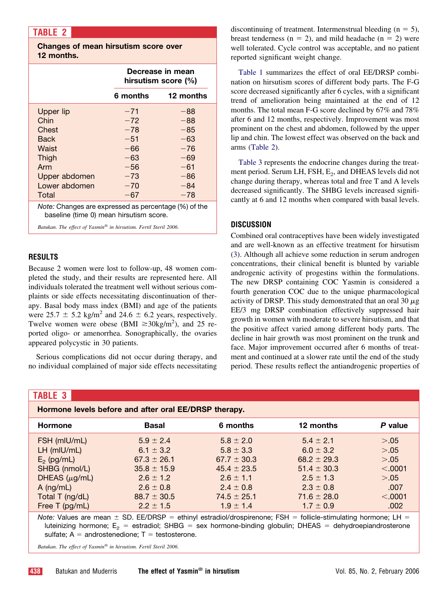# **TABLE 2**

**Changes of mean hirsutism score over 12 months.**

|                                                      | Decrease in mean<br>hirsutism score (%) |           |  |  |
|------------------------------------------------------|-----------------------------------------|-----------|--|--|
|                                                      | 6 months                                | 12 months |  |  |
| Upper lip                                            | $-71$                                   | -88       |  |  |
| Chin                                                 | $-72$                                   | $-88$     |  |  |
| Chest                                                | $-78$                                   | $-85$     |  |  |
| Back                                                 | $-51$                                   | $-63$     |  |  |
| Waist                                                | $-66$                                   | $-76$     |  |  |
| Thigh                                                | $-63$                                   | $-69$     |  |  |
| Arm                                                  | $-56$                                   | $-61$     |  |  |
| Upper abdomen                                        | $-73$                                   | $-86$     |  |  |
| Lower abdomen                                        | $-70$                                   | $-84$     |  |  |
| Total                                                | $-67$                                   | $-78$     |  |  |
| Note: Changes are expressed as percentage (%) of the |                                         |           |  |  |

baseline (time 0) mean hirsutism score.

*Batukan. The effect of Yasmin® in hirsutism. Fertil Steril 2006.*

## **RESULTS**

Because 2 women were lost to follow-up, 48 women completed the study, and their results are represented here. All individuals tolerated the treatment well without serious complaints or side effects necessitating discontinuation of therapy. Basal body mass index (BMI) and age of the patients were  $25.7 \pm 5.2$  kg/m<sup>2</sup> and  $24.6 \pm 6.2$  years, respectively. Twelve women were obese (BMI  $\geq 30 \text{kg/m}^2$ ), and 25 reported oligo- or amenorrhea. Sonographically, the ovaries appeared polycystic in 30 patients.

Serious complications did not occur during therapy, and no individual complained of major side effects necessitating discontinuing of treatment. Intermenstrual bleeding  $(n = 5)$ , breast tenderness ( $n = 2$ ), and mild headache ( $n = 2$ ) were well tolerated. Cycle control was acceptable, and no patient reported significant weight change.

[Table 1](#page-1-0) summarizes the effect of oral EE/DRSP combination on hirsutism scores of different body parts. The F-G score decreased significantly after 6 cycles, with a significant trend of amelioration being maintained at the end of 12 months. The total mean F-G score declined by 67% and 78% after 6 and 12 months, respectively. Improvement was most prominent on the chest and abdomen, followed by the upper lip and chin. The lowest effect was observed on the back and arms (Table 2).

Table 3 represents the endocrine changes during the treatment period. Serum LH, FSH, E<sub>2</sub>, and DHEAS levels did not change during therapy, whereas total and free T and A levels decreased significantly. The SHBG levels increased significantly at 6 and 12 months when compared with basal levels.

#### **DISCUSSION**

Combined oral contraceptives have been widely investigated and are well-known as an effective treatment for hirsutism [\(3\)](#page-4-0). Although all achieve some reduction in serum androgen concentrations, their clinical benefit is blunted by variable androgenic activity of progestins within the formulations. The new DRSP containing COC Yasmin is considered a fourth generation COC due to the unique pharmacological activity of DRSP. This study demonstrated that an oral 30  $\mu$ g EE/3 mg DRSP combination effectively suppressed hair growth in women with moderate to severe hirsutism, and that the positive affect varied among different body parts. The decline in hair growth was most prominent on the trunk and face. Major improvement occurred after 6 months of treatment and continued at a slower rate until the end of the study period. These results reflect the antiandrogenic properties of

|  | . . |                          |
|--|-----|--------------------------|
|  |     |                          |
|  |     |                          |
|  |     | $\overline{\phantom{a}}$ |

**Hormone levels before and after oral EE/DRSP therapy.**

| <b>Hormone</b>     | <b>Basal</b>    | 6 months        | 12 months       | P value |  |  |
|--------------------|-----------------|-----------------|-----------------|---------|--|--|
| FSH (mIU/mL)       | $5.9 \pm 2.4$   | $5.8 \pm 2.0$   | $5.4 \pm 2.1$   | > 0.05  |  |  |
| $LH$ (mlU/mL)      | 6.1 $\pm$ 3.2   | $5.8 \pm 3.3$   | $6.0 \pm 3.2$   | > 0.05  |  |  |
| $E_2$ (pg/mL)      | $67.3 \pm 26.1$ | $67.7 \pm 30.3$ | $68.2 \pm 29.3$ | > 0.05  |  |  |
| SHBG (nmol/L)      | $35.8 \pm 15.9$ | $45.4 \pm 23.5$ | $51.4 \pm 30.3$ | < .0001 |  |  |
| DHEAS $(\mu g/mL)$ | $2.6 \pm 1.2$   | $2.6 \pm 1.1$   | $2.5 \pm 1.3$   | > 0.05  |  |  |
| $A$ (ng/mL)        | $2.6 \pm 0.8$   | $2.4 \pm 0.8$   | $2.3 \pm 0.8$   | .007    |  |  |
| Total T (ng/dL)    | $88.7 \pm 30.5$ | $74.5 \pm 25.1$ | $71.6 \pm 28.0$ | < .0001 |  |  |
| Free T (pg/mL)     | $2.2 \pm 1.5$   | $1.9 \pm 1.4$   | $1.7 \pm 0.9$   | .002    |  |  |

*Note:* Values are mean  $\pm$  SD. EE/DRSP = ethinyl estradiol/drospirenone; FSH = follicle-stimulating hormone; LH = luteinizing hormone;  $E_2$  = estradiol; SHBG = sex hormone-binding globulin; DHEAS = dehydroepiandrosterone sulfate;  $A =$  androstenedione;  $T =$  testosterone.

*Batukan. The effect of Yasmin® in hirsutism. Fertil Steril 2006.*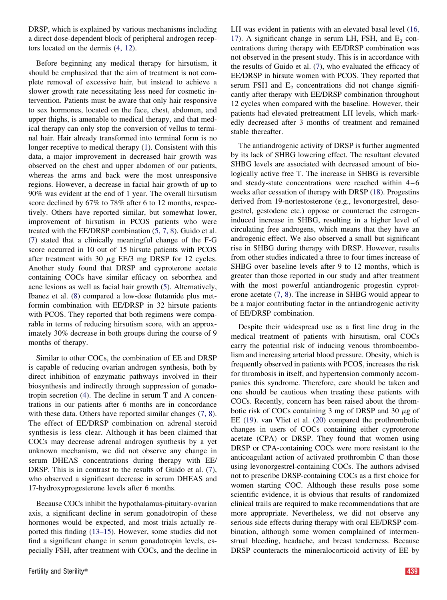DRSP, which is explained by various mechanisms including a direct dose-dependent block of peripheral androgen receptors located on the dermis [\(4, 12\)](#page-4-0).

Before beginning any medical therapy for hirsutism, it should be emphasized that the aim of treatment is not complete removal of excessive hair, but instead to achieve a slower growth rate necessitating less need for cosmetic intervention. Patients must be aware that only hair responsive to sex hormones, located on the face, chest, abdomen, and upper thighs, is amenable to medical therapy, and that medical therapy can only stop the conversion of vellus to terminal hair. Hair already transformed into terminal form is no longer receptive to medical therapy [\(1\)](#page-4-0). Consistent with this data, a major improvement in decreased hair growth was observed on the chest and upper abdomen of our patients, whereas the arms and back were the most unresponsive regions. However, a decrease in facial hair growth of up to 90% was evident at the end of 1 year. The overall hirsutism score declined by 67% to 78% after 6 to 12 months, respectively. Others have reported similar, but somewhat lower, improvement of hirsutism in PCOS patients who were treated with the EE/DRSP combination [\(5, 7, 8\)](#page-4-0). Guido et al. [\(7\)](#page-4-0) stated that a clinically meaningful change of the F-G score occurred in 10 out of 15 hirsute patients with PCOS after treatment with 30  $\mu$ g EE/3 mg DRSP for 12 cycles. Another study found that DRSP and cyproterone acetate containing COCs have similar efficacy on seborrhea and acne lesions as well as facial hair growth [\(5\)](#page-4-0). Alternatively, Ibanez et al. [\(8\)](#page-4-0) compared a low-dose flutamide plus metformin combination with EE/DRSP in 32 hirsute patients with PCOS. They reported that both regimens were comparable in terms of reducing hirsutism score, with an approximately 30% decrease in both groups during the course of 9 months of therapy.

Similar to other COCs, the combination of EE and DRSP is capable of reducing ovarian androgen synthesis, both by direct inhibition of enzymatic pathways involved in their biosynthesis and indirectly through suppression of gonadotropin secretion [\(4\)](#page-4-0). The decline in serum T and A concentrations in our patients after 6 months are in concordance with these data. Others have reported similar changes  $(7, 8)$ . The effect of EE/DRSP combination on adrenal steroid synthesis is less clear. Although it has been claimed that COCs may decrease adrenal androgen synthesis by a yet unknown mechanism, we did not observe any change in serum DHEAS concentrations during therapy with EE/ DRSP. This is in contrast to the results of Guido et al. [\(7\)](#page-4-0), who observed a significant decrease in serum DHEAS and 17-hydroxyprogesterone levels after 6 months.

Because COCs inhibit the hypothalamus-pituitary-ovarian axis, a significant decline in serum gonadotropin of these hormones would be expected, and most trials actually reported this finding [\(13–15\)](#page-4-0). However, some studies did not find a significant change in serum gonadotropin levels, especially FSH, after treatment with COCs, and the decline in

LH was evident in patients with an elevated basal level [\(16,](#page-4-0) [17\)](#page-4-0). A significant change in serum LH, FSH, and  $E<sub>2</sub>$  concentrations during therapy with EE/DRSP combination was not observed in the present study. This is in accordance with the results of Guido et al. [\(7\)](#page-4-0), who evaluated the efficacy of EE/DRSP in hirsute women with PCOS. They reported that serum FSH and  $E<sub>2</sub>$  concentrations did not change significantly after therapy with EE/DRSP combination throughout 12 cycles when compared with the baseline. However, their patients had elevated pretreatment LH levels, which markedly decreased after 3 months of treatment and remained stable thereafter.

The antiandrogenic activity of DRSP is further augmented by its lack of SHBG lowering effect. The resultant elevated SHBG levels are associated with decreased amount of biologically active free T. The increase in SHBG is reversible and steady-state concentrations were reached within  $4-6$ weeks after cessation of therapy with DRSP [\(18\)](#page-4-0). Progestins derived from 19-nortestosterone (e.g., levonorgestrel, desogestrel, gestodene etc.) oppose or counteract the estrogeninduced increase in SHBG, resulting in a higher level of circulating free androgens, which means that they have an androgenic effect. We also observed a small but significant rise in SHBG during therapy with DRSP. However, results from other studies indicated a three to four times increase of SHBG over baseline levels after 9 to 12 months, which is greater than those reported in our study and after treatment with the most powerful antiandrogenic progestin cyproterone acetate [\(7, 8\)](#page-4-0). The increase in SHBG would appear to be a major contributing factor in the antiandrogenic activity of EE/DRSP combination.

Despite their widespread use as a first line drug in the medical treatment of patients with hirsutism, oral COCs carry the potential risk of inducing venous thromboembolism and increasing arterial blood pressure. Obesity, which is frequently observed in patients with PCOS, increases the risk for thrombosis in itself, and hypertension commonly accompanies this syndrome. Therefore, care should be taken and one should be cautious when treating these patients with COCs. Recently, concern has been raised about the thrombotic risk of COCs containing 3 mg of DRSP and 30  $\mu$ g of EE [\(19\)](#page-4-0). van Vliet et al. [\(20\)](#page-4-0) compared the prothrombotic changes in users of COCs containing either cyproterone acetate (CPA) or DRSP. They found that women using DRSP or CPA-containing COCs were more resistant to the anticoagulant action of activated prothrombin C than those using levonorgestrel-containing COCs. The authors advised not to prescribe DRSP-containing COCs as a first choice for women starting COC. Although these results pose some scientific evidence, it is obvious that results of randomized clinical trails are required to make recommendations that are more appropriate. Nevertheless, we did not observe any serious side effects during therapy with oral EE/DRSP combination, although some women complained of intermenstrual bleeding, headache, and breast tenderness. Because DRSP counteracts the mineralocorticoid activity of EE by